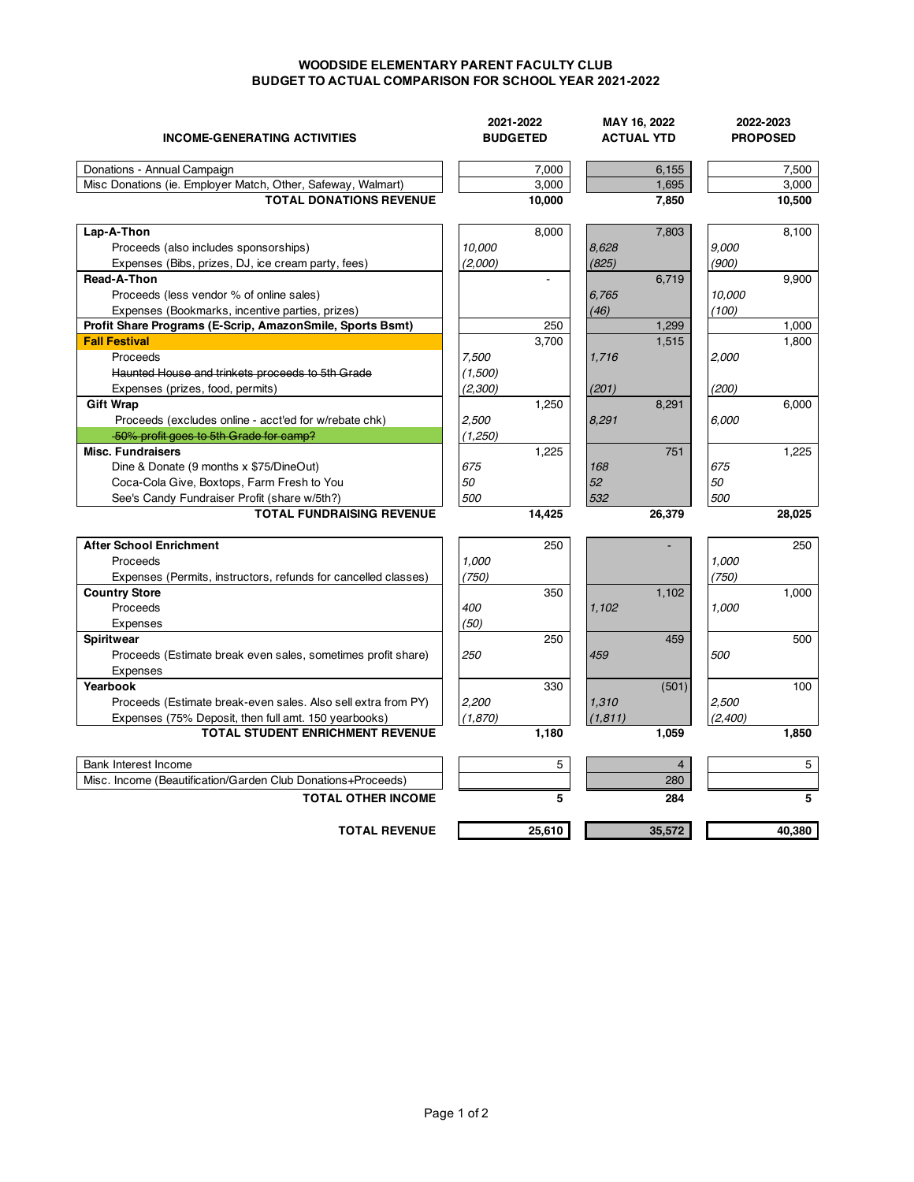## **WOODSIDE ELEMENTARY PARENT FACULTY CLUB BUDGET TO ACTUAL COMPARISON FOR SCHOOL YEAR 2021-2022**

| <b>INCOME-GENERATING ACTIVITIES</b>                            | 2021-2022<br><b>BUDGETED</b> |        | MAY 16, 2022<br><b>ACTUAL YTD</b> |                | 2022-2023<br><b>PROPOSED</b> |        |
|----------------------------------------------------------------|------------------------------|--------|-----------------------------------|----------------|------------------------------|--------|
| Donations - Annual Campaign                                    |                              | 7,000  |                                   | 6,155          |                              | 7,500  |
| Misc Donations (ie. Employer Match, Other, Safeway, Walmart)   |                              | 3.000  |                                   | 1,695          |                              | 3,000  |
| <b>TOTAL DONATIONS REVENUE</b>                                 |                              | 10,000 |                                   | 7,850          |                              | 10,500 |
| Lap-A-Thon                                                     |                              | 8,000  |                                   | 7,803          |                              | 8,100  |
| Proceeds (also includes sponsorships)                          | 10.000                       |        | 8,628                             |                | 9,000                        |        |
| Expenses (Bibs, prizes, DJ, ice cream party, fees)             | (2,000)                      |        | (825)                             |                | (900)                        |        |
| Read-A-Thon                                                    |                              |        |                                   | 6,719          |                              | 9,900  |
| Proceeds (less vendor % of online sales)                       |                              |        | 6,765                             |                | 10,000                       |        |
| Expenses (Bookmarks, incentive parties, prizes)                |                              |        | (46)                              |                | (100)                        |        |
| Profit Share Programs (E-Scrip, AmazonSmile, Sports Bsmt)      |                              | 250    |                                   | 1,299          |                              | 1,000  |
| <b>Fall Festival</b>                                           |                              | 3,700  |                                   | 1,515          |                              | 1,800  |
| Proceeds                                                       | 7.500                        |        | 1,716                             |                | 2.000                        |        |
| Haunted House and trinkets proceeds to 5th Grade               | (1,500)                      |        |                                   |                |                              |        |
| Expenses (prizes, food, permits)                               | (2,300)                      |        | (201)                             |                | (200)                        |        |
| <b>Gift Wrap</b>                                               |                              | 1,250  |                                   | 8,291          |                              | 6,000  |
| Proceeds (excludes online - acct'ed for w/rebate chk)          | 2,500                        |        | 8,291                             |                | 6.000                        |        |
| 50% profit goes to 5th Grade for camp?                         | (1,250)                      |        |                                   |                |                              |        |
| <b>Misc. Fundraisers</b>                                       |                              | 1,225  |                                   | 751            |                              | 1,225  |
| Dine & Donate (9 months x \$75/DineOut)                        | 675                          |        | 168                               |                | 675                          |        |
| Coca-Cola Give, Boxtops, Farm Fresh to You                     | 50                           |        | 52                                |                | 50                           |        |
| See's Candy Fundraiser Profit (share w/5th?)                   | 500                          |        | 532                               |                | 500                          |        |
| <b>TOTAL FUNDRAISING REVENUE</b>                               |                              | 14,425 |                                   | 26,379         |                              | 28,025 |
| <b>After School Enrichment</b>                                 |                              | 250    |                                   |                |                              | 250    |
| Proceeds                                                       | 1,000                        |        |                                   |                | 1,000                        |        |
| Expenses (Permits, instructors, refunds for cancelled classes) | (750)                        |        |                                   |                | (750)                        |        |
| <b>Country Store</b>                                           |                              | 350    |                                   | 1,102          |                              | 1,000  |
| Proceeds                                                       | 400                          |        | 1,102                             |                | 1.000                        |        |
| <b>Expenses</b>                                                | (50)                         |        |                                   |                |                              |        |
| <b>Spiritwear</b>                                              |                              | 250    |                                   | 459            |                              | 500    |
| Proceeds (Estimate break even sales, sometimes profit share)   | 250                          |        | 459                               |                | 500                          |        |
| Expenses                                                       |                              |        |                                   |                |                              |        |
| Yearbook                                                       |                              | 330    |                                   | (501)          |                              | 100    |
| Proceeds (Estimate break-even sales. Also sell extra from PY)  | 2,200                        |        | 1,310                             |                | 2,500                        |        |
| Expenses (75% Deposit, then full amt. 150 yearbooks)           | (1, 870)                     |        | (1,811)                           |                | (2,400)                      |        |
| <b>TOTAL STUDENT ENRICHMENT REVENUE</b>                        |                              | 1,180  |                                   | 1,059          |                              | 1,850  |
|                                                                |                              |        |                                   |                |                              |        |
| Bank Interest Income                                           |                              | 5      |                                   | $\overline{4}$ |                              | 5      |
| Misc. Income (Beautification/Garden Club Donations+Proceeds)   |                              |        |                                   | 280            |                              |        |
| <b>TOTAL OTHER INCOME</b>                                      |                              | 5      |                                   | 284            |                              | 5      |
| <b>TOTAL REVENUE</b>                                           |                              | 25,610 |                                   | 35,572         |                              | 40,380 |
|                                                                |                              |        |                                   |                |                              |        |